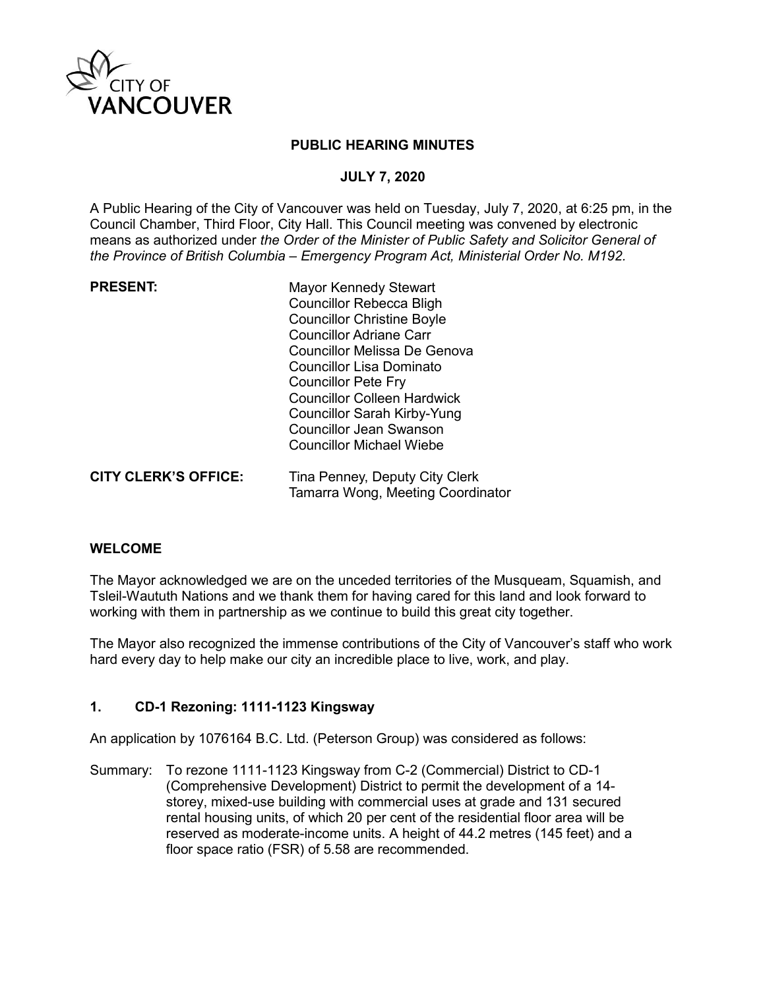

#### **PUBLIC HEARING MINUTES**

#### **JULY 7, 2020**

A Public Hearing of the City of Vancouver was held on Tuesday, July 7, 2020, at 6:25 pm, in the Council Chamber, Third Floor, City Hall. This Council meeting was convened by electronic means as authorized under *the Order of the Minister of Public Safety and Solicitor General of the Province of British Columbia – Emergency Program Act, Ministerial Order No. M192.*

| <b>PRESENT:</b>             | <b>Mayor Kennedy Stewart</b><br><b>Councillor Rebecca Bligh</b><br><b>Councillor Christine Boyle</b><br>Councillor Adriane Carr<br>Councillor Melissa De Genova<br>Councillor Lisa Dominato<br><b>Councillor Pete Fry</b><br><b>Councillor Colleen Hardwick</b><br><b>Councillor Sarah Kirby-Yung</b><br><b>Councillor Jean Swanson</b><br><b>Councillor Michael Wiebe</b> |
|-----------------------------|----------------------------------------------------------------------------------------------------------------------------------------------------------------------------------------------------------------------------------------------------------------------------------------------------------------------------------------------------------------------------|
| <b>CITY CLERK'S OFFICE:</b> | Tina Penney, Deputy City Clerk<br>Tamarra Wong, Meeting Coordinator                                                                                                                                                                                                                                                                                                        |

#### **WELCOME**

The Mayor acknowledged we are on the unceded territories of the Musqueam, Squamish, and Tsleil-Waututh Nations and we thank them for having cared for this land and look forward to working with them in partnership as we continue to build this great city together.

The Mayor also recognized the immense contributions of the City of Vancouver's staff who work hard every day to help make our city an incredible place to live, work, and play.

#### **1. CD-1 Rezoning: 1111-1123 Kingsway**

An application by 1076164 B.C. Ltd. (Peterson Group) was considered as follows:

Summary: To rezone 1111-1123 Kingsway from C-2 (Commercial) District to CD-1 (Comprehensive Development) District to permit the development of a 14 storey, mixed-use building with commercial uses at grade and 131 secured rental housing units, of which 20 per cent of the residential floor area will be reserved as moderate-income units. A height of 44.2 metres (145 feet) and a floor space ratio (FSR) of 5.58 are recommended.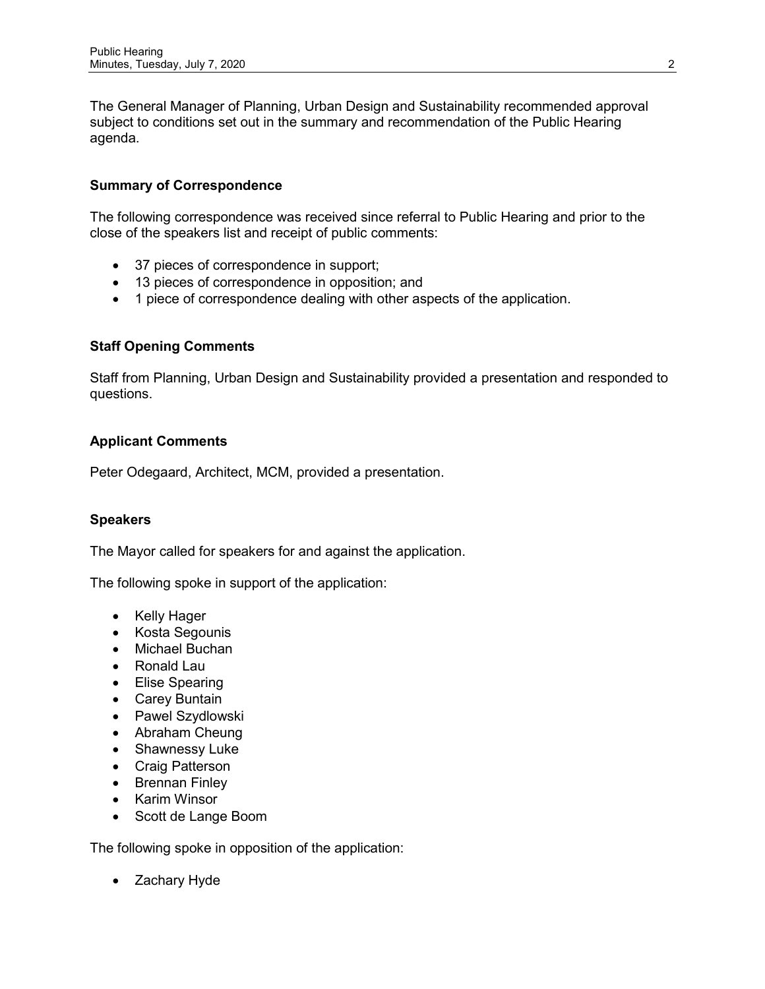The General Manager of Planning, Urban Design and Sustainability recommended approval subject to conditions set out in the summary and recommendation of the Public Hearing agenda.

## **Summary of Correspondence**

The following correspondence was received since referral to Public Hearing and prior to the close of the speakers list and receipt of public comments:

- 37 pieces of correspondence in support;
- 13 pieces of correspondence in opposition; and
- 1 piece of correspondence dealing with other aspects of the application.

## **Staff Opening Comments**

Staff from Planning, Urban Design and Sustainability provided a presentation and responded to questions.

## **Applicant Comments**

Peter Odegaard, Architect, MCM, provided a presentation.

## **Speakers**

The Mayor called for speakers for and against the application.

The following spoke in support of the application:

- Kelly Hager
- Kosta Segounis
- Michael Buchan
- Ronald Lau
- Elise Spearing
- Carey Buntain
- Pawel Szydlowski
- Abraham Cheung
- Shawnessy Luke
- Craig Patterson
- Brennan Finley
- Karim Winsor
- Scott de Lange Boom

The following spoke in opposition of the application:

• Zachary Hyde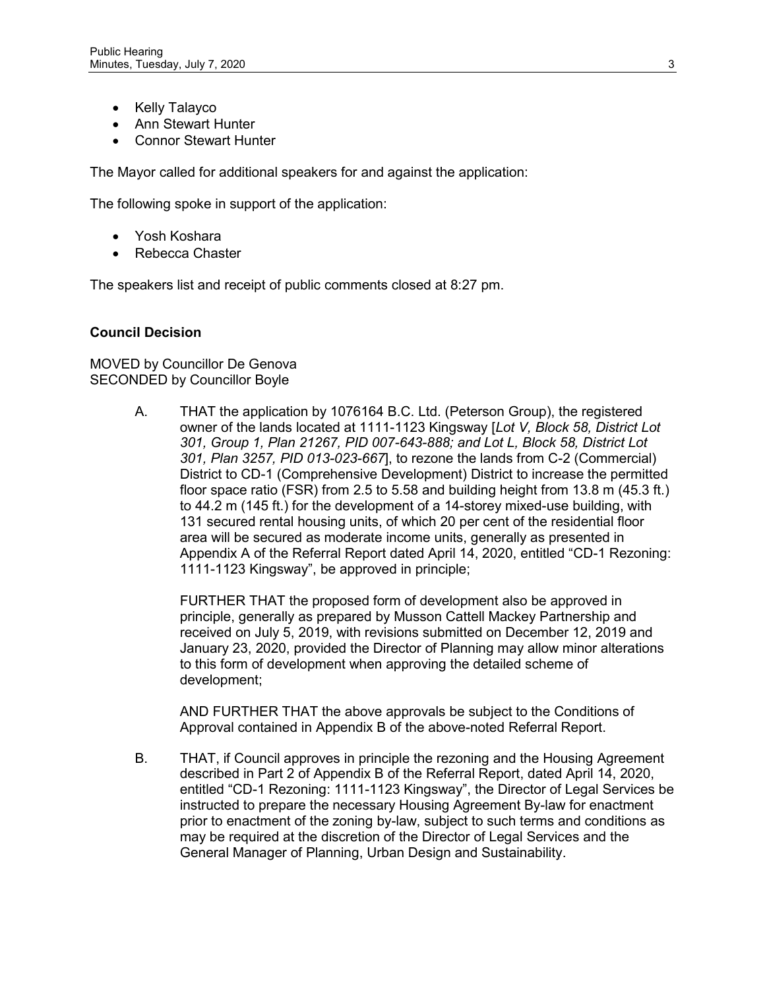- Kelly Talayco
- Ann Stewart Hunter
- Connor Stewart Hunter

The Mayor called for additional speakers for and against the application:

The following spoke in support of the application:

- Yosh Koshara
- Rebecca Chaster

The speakers list and receipt of public comments closed at 8:27 pm.

## **Council Decision**

MOVED by Councillor De Genova SECONDED by Councillor Boyle

> A. THAT the application by 1076164 B.C. Ltd. (Peterson Group), the registered owner of the lands located at 1111-1123 Kingsway [*Lot V, Block 58, District Lot 301, Group 1, Plan 21267, PID 007-643-888; and Lot L, Block 58, District Lot 301, Plan 3257, PID 013-023-667*], to rezone the lands from C-2 (Commercial) District to CD-1 (Comprehensive Development) District to increase the permitted floor space ratio (FSR) from 2.5 to 5.58 and building height from 13.8 m (45.3 ft.) to 44.2 m (145 ft.) for the development of a 14-storey mixed-use building, with 131 secured rental housing units, of which 20 per cent of the residential floor area will be secured as moderate income units, generally as presented in Appendix A of the Referral Report dated April 14, 2020, entitled "CD-1 Rezoning: 1111-1123 Kingsway", be approved in principle;

FURTHER THAT the proposed form of development also be approved in principle, generally as prepared by Musson Cattell Mackey Partnership and received on July 5, 2019, with revisions submitted on December 12, 2019 and January 23, 2020, provided the Director of Planning may allow minor alterations to this form of development when approving the detailed scheme of development;

AND FURTHER THAT the above approvals be subject to the Conditions of Approval contained in Appendix B of the above-noted Referral Report.

B. THAT, if Council approves in principle the rezoning and the Housing Agreement described in Part 2 of Appendix B of the Referral Report, dated April 14, 2020, entitled "CD-1 Rezoning: 1111-1123 Kingsway", the Director of Legal Services be instructed to prepare the necessary Housing Agreement By-law for enactment prior to enactment of the zoning by-law, subject to such terms and conditions as may be required at the discretion of the Director of Legal Services and the General Manager of Planning, Urban Design and Sustainability.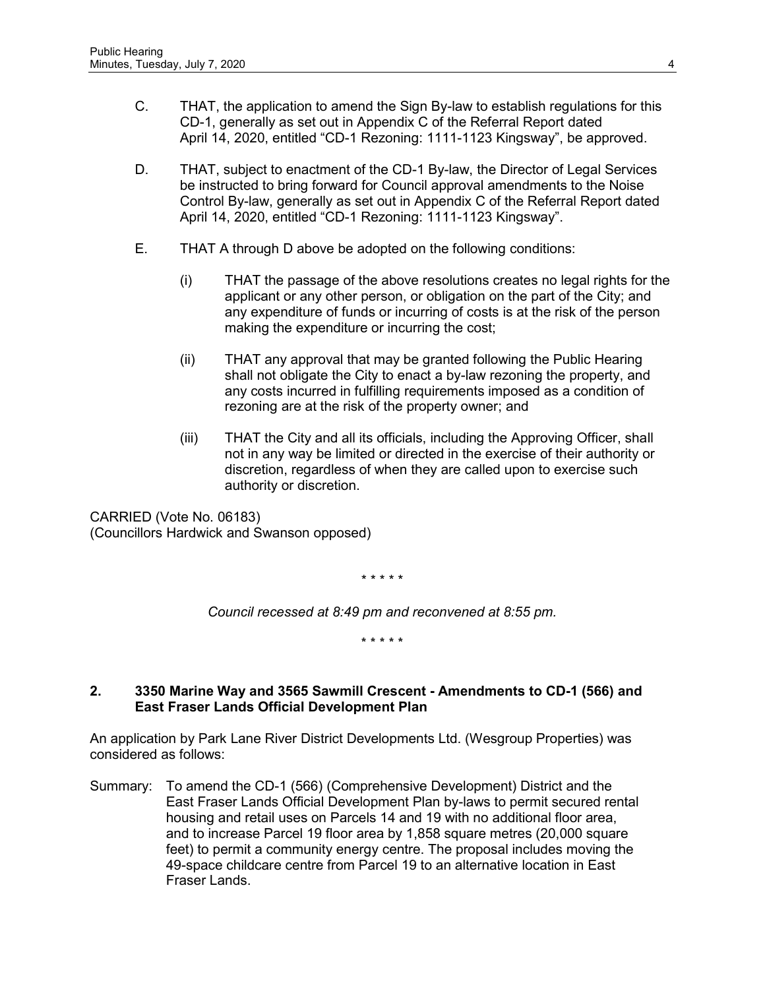- C. THAT, the application to amend the Sign By-law to establish regulations for this CD-1, generally as set out in Appendix C of the Referral Report dated April 14, 2020, entitled "CD-1 Rezoning: 1111-1123 Kingsway", be approved.
- D. THAT, subject to enactment of the CD-1 By-law, the Director of Legal Services be instructed to bring forward for Council approval amendments to the Noise Control By-law, generally as set out in Appendix C of the Referral Report dated April 14, 2020, entitled "CD-1 Rezoning: 1111-1123 Kingsway".
- E. THAT A through D above be adopted on the following conditions:
	- (i) THAT the passage of the above resolutions creates no legal rights for the applicant or any other person, or obligation on the part of the City; and any expenditure of funds or incurring of costs is at the risk of the person making the expenditure or incurring the cost;
	- (ii) THAT any approval that may be granted following the Public Hearing shall not obligate the City to enact a by-law rezoning the property, and any costs incurred in fulfilling requirements imposed as a condition of rezoning are at the risk of the property owner; and
	- (iii) THAT the City and all its officials, including the Approving Officer, shall not in any way be limited or directed in the exercise of their authority or discretion, regardless of when they are called upon to exercise such authority or discretion.

CARRIED (Vote No. 06183) (Councillors Hardwick and Swanson opposed)

\* \* \* \* \*

*Council recessed at 8:49 pm and reconvened at 8:55 pm.* 

\* \* \* \* \*

### **2. 3350 Marine Way and 3565 Sawmill Crescent - Amendments to CD-1 (566) and East Fraser Lands Official Development Plan**

An application by Park Lane River District Developments Ltd. (Wesgroup Properties) was considered as follows:

Summary: To amend the CD-1 (566) (Comprehensive Development) District and the East Fraser Lands Official Development Plan by-laws to permit secured rental housing and retail uses on Parcels 14 and 19 with no additional floor area, and to increase Parcel 19 floor area by 1,858 square metres (20,000 square feet) to permit a community energy centre. The proposal includes moving the 49-space childcare centre from Parcel 19 to an alternative location in East Fraser Lands.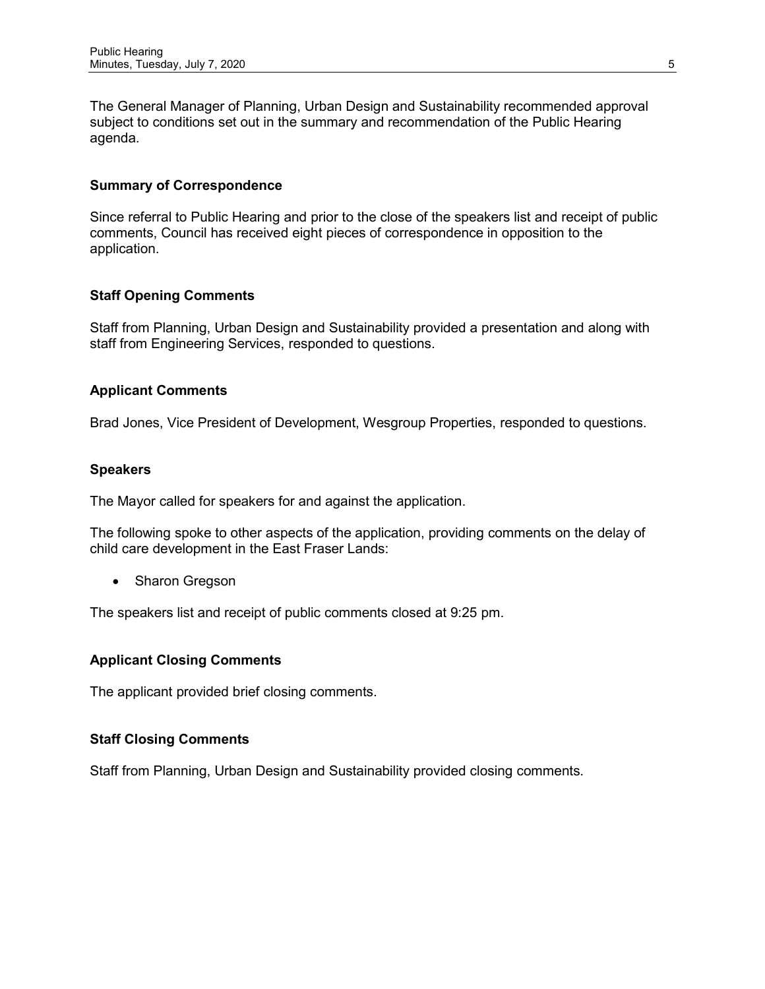The General Manager of Planning, Urban Design and Sustainability recommended approval subject to conditions set out in the summary and recommendation of the Public Hearing agenda.

## **Summary of Correspondence**

Since referral to Public Hearing and prior to the close of the speakers list and receipt of public comments, Council has received eight pieces of correspondence in opposition to the application.

## **Staff Opening Comments**

Staff from Planning, Urban Design and Sustainability provided a presentation and along with staff from Engineering Services, responded to questions.

## **Applicant Comments**

Brad Jones, Vice President of Development, Wesgroup Properties, responded to questions.

## **Speakers**

The Mayor called for speakers for and against the application.

The following spoke to other aspects of the application, providing comments on the delay of child care development in the East Fraser Lands:

• Sharon Gregson

The speakers list and receipt of public comments closed at 9:25 pm.

## **Applicant Closing Comments**

The applicant provided brief closing comments.

## **Staff Closing Comments**

Staff from Planning, Urban Design and Sustainability provided closing comments.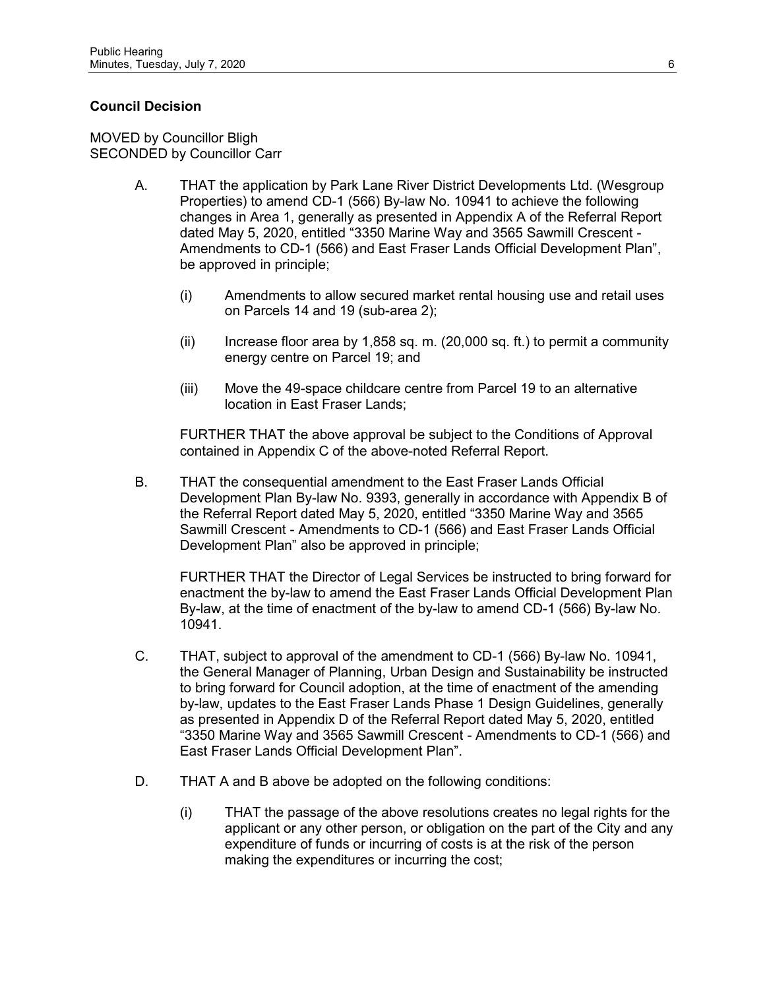## **Council Decision**

MOVED by Councillor Bligh SECONDED by Councillor Carr

- A. THAT the application by Park Lane River District Developments Ltd. (Wesgroup Properties) to amend CD-1 (566) By-law No. 10941 to achieve the following changes in Area 1, generally as presented in Appendix A of the Referral Report dated May 5, 2020, entitled "3350 Marine Way and 3565 Sawmill Crescent - Amendments to CD-1 (566) and East Fraser Lands Official Development Plan", be approved in principle;
	- (i) Amendments to allow secured market rental housing use and retail uses on Parcels 14 and 19 (sub-area 2);
	- (ii) Increase floor area by 1,858 sq. m.  $(20,000 \text{ sq. ft.})$  to permit a community energy centre on Parcel 19; and
	- (iii) Move the 49-space childcare centre from Parcel 19 to an alternative location in East Fraser Lands;

FURTHER THAT the above approval be subject to the Conditions of Approval contained in Appendix C of the above-noted Referral Report.

B. THAT the consequential amendment to the East Fraser Lands Official Development Plan By-law No. 9393, generally in accordance with Appendix B of the Referral Report dated May 5, 2020, entitled "3350 Marine Way and 3565 Sawmill Crescent - Amendments to CD-1 (566) and East Fraser Lands Official Development Plan" also be approved in principle;

FURTHER THAT the Director of Legal Services be instructed to bring forward for enactment the by-law to amend the East Fraser Lands Official Development Plan By-law, at the time of enactment of the by-law to amend CD-1 (566) By-law No. 10941.

- C. THAT, subject to approval of the amendment to CD-1 (566) By-law No. 10941, the General Manager of Planning, Urban Design and Sustainability be instructed to bring forward for Council adoption, at the time of enactment of the amending by-law, updates to the East Fraser Lands Phase 1 Design Guidelines, generally as presented in Appendix D of the Referral Report dated May 5, 2020, entitled "3350 Marine Way and 3565 Sawmill Crescent - Amendments to CD-1 (566) and East Fraser Lands Official Development Plan".
- D. THAT A and B above be adopted on the following conditions:
	- (i) THAT the passage of the above resolutions creates no legal rights for the applicant or any other person, or obligation on the part of the City and any expenditure of funds or incurring of costs is at the risk of the person making the expenditures or incurring the cost;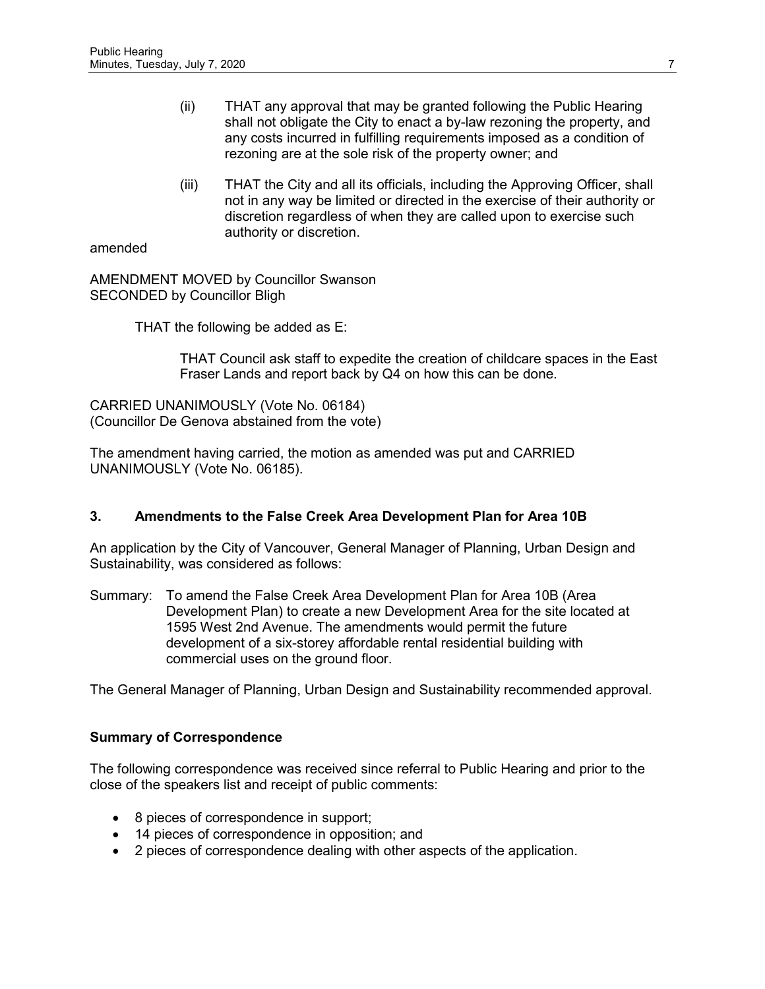- (ii) THAT any approval that may be granted following the Public Hearing shall not obligate the City to enact a by-law rezoning the property, and any costs incurred in fulfilling requirements imposed as a condition of rezoning are at the sole risk of the property owner; and
- (iii) THAT the City and all its officials, including the Approving Officer, shall not in any way be limited or directed in the exercise of their authority or discretion regardless of when they are called upon to exercise such authority or discretion.

amended

AMENDMENT MOVED by Councillor Swanson SECONDED by Councillor Bligh

THAT the following be added as E:

THAT Council ask staff to expedite the creation of childcare spaces in the East Fraser Lands and report back by Q4 on how this can be done.

CARRIED UNANIMOUSLY (Vote No. 06184) (Councillor De Genova abstained from the vote)

The amendment having carried, the motion as amended was put and CARRIED UNANIMOUSLY (Vote No. 06185).

## **3. Amendments to the False Creek Area Development Plan for Area 10B**

An application by the City of Vancouver, General Manager of Planning, Urban Design and Sustainability, was considered as follows:

Summary: To amend the False Creek Area Development Plan for Area 10B (Area Development Plan) to create a new Development Area for the site located at 1595 West 2nd Avenue. The amendments would permit the future development of a six-storey affordable rental residential building with commercial uses on the ground floor.

The General Manager of Planning, Urban Design and Sustainability recommended approval.

#### **Summary of Correspondence**

The following correspondence was received since referral to Public Hearing and prior to the close of the speakers list and receipt of public comments:

- 8 pieces of correspondence in support;
- 14 pieces of correspondence in opposition; and
- 2 pieces of correspondence dealing with other aspects of the application.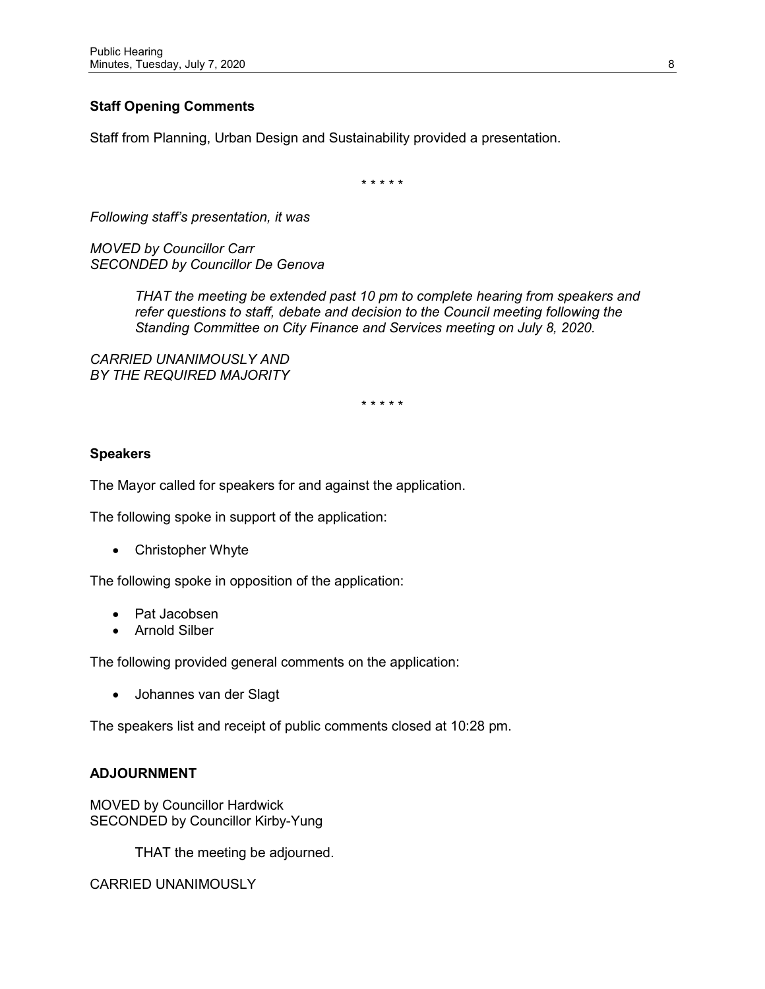# **Staff Opening Comments**

Staff from Planning, Urban Design and Sustainability provided a presentation.

\* \* \* \* \*

*Following staff's presentation, it was* 

*MOVED by Councillor Carr SECONDED by Councillor De Genova* 

> *THAT the meeting be extended past 10 pm to complete hearing from speakers and refer questions to staff, debate and decision to the Council meeting following the Standing Committee on City Finance and Services meeting on July 8, 2020.*

*CARRIED UNANIMOUSLY AND BY THE REQUIRED MAJORITY* 

\* \* \* \* \*

#### **Speakers**

The Mayor called for speakers for and against the application.

The following spoke in support of the application:

Christopher Whyte

The following spoke in opposition of the application:

- Pat Jacobsen
- Arnold Silber

The following provided general comments on the application:

Johannes van der Slagt

The speakers list and receipt of public comments closed at 10:28 pm.

#### **ADJOURNMENT**

MOVED by Councillor Hardwick SECONDED by Councillor Kirby-Yung

THAT the meeting be adjourned.

CARRIED UNANIMOUSLY